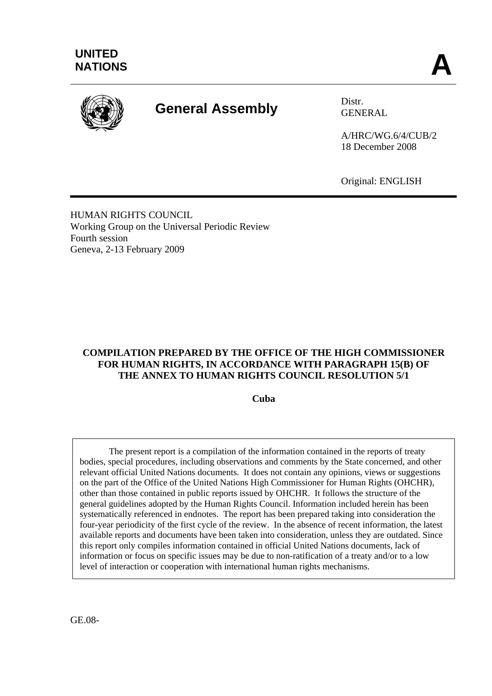

# **General Assembly** Distr.

GENERAL

A/HRC/WG.6/4/CUB/2 18 December 2008

Original: ENGLISH

HUMAN RIGHTS COUNCIL Working Group on the Universal Periodic Review Fourth session Geneva, 2-13 February 2009

#### **COMPILATION PREPARED BY THE OFFICE OF THE HIGH COMMISSIONER FOR HUMAN RIGHTS, IN ACCORDANCE WITH PARAGRAPH 15(B) OF THE ANNEX TO HUMAN RIGHTS COUNCIL RESOLUTION 5/1**

**Cuba** 

 The present report is a compilation of the information contained in the reports of treaty bodies, special procedures, including observations and comments by the State concerned, and other relevant official United Nations documents. It does not contain any opinions, views or suggestions on the part of the Office of the United Nations High Commissioner for Human Rights (OHCHR), other than those contained in public reports issued by OHCHR. It follows the structure of the general guidelines adopted by the Human Rights Council. Information included herein has been systematically referenced in endnotes. The report has been prepared taking into consideration the four-year periodicity of the first cycle of the review. In the absence of recent information, the latest available reports and documents have been taken into consideration, unless they are outdated. Since this report only compiles information contained in official United Nations documents, lack of information or focus on specific issues may be due to non-ratification of a treaty and/or to a low level of interaction or cooperation with international human rights mechanisms.

GE.08-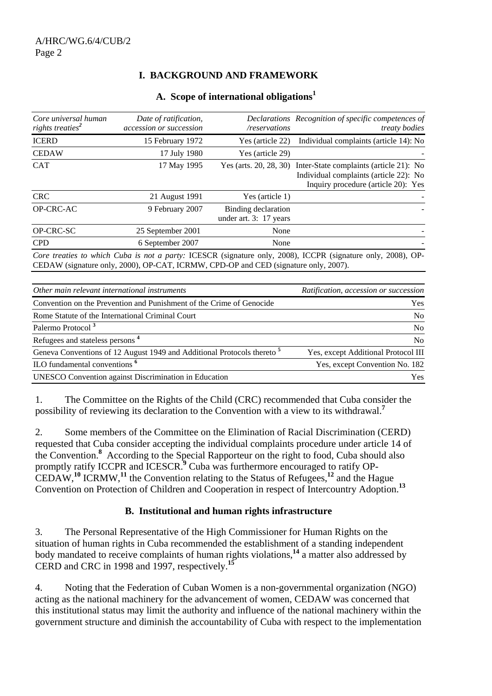# **I. BACKGROUND AND FRAMEWORK**

#### **A. Scope of international obligations1**

| Core universal human<br>rights treaties <sup>2</sup> | Date of ratification,<br>accession or succession                      | /reservations                                 | Declarations Recognition of specific competences of<br><i>treaty bodies</i>                                                                     |
|------------------------------------------------------|-----------------------------------------------------------------------|-----------------------------------------------|-------------------------------------------------------------------------------------------------------------------------------------------------|
| <b>ICERD</b>                                         | 15 February 1972                                                      | Yes (article 22)                              | Individual complaints (article 14): No                                                                                                          |
| <b>CEDAW</b>                                         | 17 July 1980                                                          | Yes (article 29)                              |                                                                                                                                                 |
| <b>CAT</b>                                           | 17 May 1995                                                           |                                               | Yes (arts. 20, 28, 30) Inter-State complaints (article 21): No<br>Individual complaints (article 22): No<br>Inquiry procedure (article 20): Yes |
| <b>CRC</b>                                           | 21 August 1991                                                        | Yes (article 1)                               |                                                                                                                                                 |
| OP-CRC-AC                                            | 9 February 2007                                                       | Binding declaration<br>under art. 3: 17 years |                                                                                                                                                 |
| OP-CRC-SC                                            | 25 September 2001                                                     | None                                          |                                                                                                                                                 |
| <b>CPD</b>                                           | 6 September 2007                                                      | None                                          |                                                                                                                                                 |
|                                                      | $GFD + WL$ ( $1.0000$ ) OD CATE ICDMUL CDD OD $1.000 \times 1.0000$ ) |                                               | Core treaties to which Cuba is not a party: ICESCR (signature only, 2008), ICCPR (signature only, 2008), OP-                                    |

| Core treaties to which Cuba is not a party: ICESCR (signature only, 2008), ICCPR (signature only, 2008), OP- |  |
|--------------------------------------------------------------------------------------------------------------|--|
| CEDAW (signature only, 2000), OP-CAT, ICRMW, CPD-OP and CED (signature only, 2007).                          |  |
|                                                                                                              |  |

| Other main relevant international instruments                                      | Ratification, accession or succession |
|------------------------------------------------------------------------------------|---------------------------------------|
| Convention on the Prevention and Punishment of the Crime of Genocide               | Yes                                   |
| Rome Statute of the International Criminal Court                                   | No                                    |
| Palermo Protocol <sup>3</sup>                                                      | N <sub>0</sub>                        |
| Refugees and stateless persons <sup>4</sup>                                        | N <sub>0</sub>                        |
| Geneva Conventions of 12 August 1949 and Additional Protocols thereto <sup>5</sup> | Yes, except Additional Protocol III   |
| ILO fundamental conventions <sup>6</sup>                                           | Yes, except Convention No. 182        |
| <b>UNESCO</b> Convention against Discrimination in Education                       | <b>Yes</b>                            |

1. The Committee on the Rights of the Child (CRC) recommended that Cuba consider the possibility of reviewing its declaration to the Convention with a view to its withdrawal.**<sup>7</sup>**

2. Some members of the Committee on the Elimination of Racial Discrimination (CERD) requested that Cuba consider accepting the individual complaints procedure under article 14 of the Convention.**<sup>8</sup>** According to the Special Rapporteur on the right to food, Cuba should also promptly ratify ICCPR and ICESCR.<sup>9</sup> Cuba was furthermore encouraged to ratify OP-CEDAW,**<sup>10</sup>** ICRMW,**<sup>11</sup>** the Convention relating to the Status of Refugees,**<sup>12</sup>** and the Hague Convention on Protection of Children and Cooperation in respect of Intercountry Adoption.**<sup>13</sup>**

#### **B. Institutional and human rights infrastructure**

3. The Personal Representative of the High Commissioner for Human Rights on the situation of human rights in Cuba recommended the establishment of a standing independent body mandated to receive complaints of human rights violations,**<sup>14</sup>** a matter also addressed by CERD and CRC in 1998 and 1997, respectively.**<sup>15</sup>**

4. Noting that the Federation of Cuban Women is a non-governmental organization (NGO) acting as the national machinery for the advancement of women, CEDAW was concerned that this institutional status may limit the authority and influence of the national machinery within the government structure and diminish the accountability of Cuba with respect to the implementation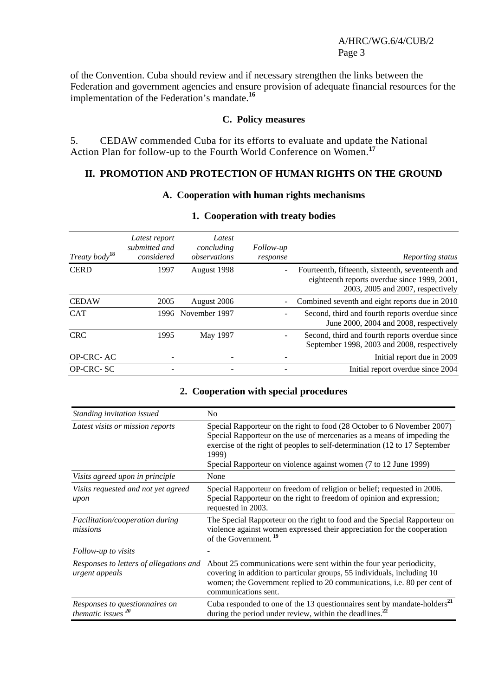#### A/HRC/WG.6/4/CUB/2 Page 3

of the Convention. Cuba should review and if necessary strengthen the links between the Federation and government agencies and ensure provision of adequate financial resources for the implementation of the Federation's mandate.**<sup>16</sup>**

#### **C. Policy measures**

5. CEDAW commended Cuba for its efforts to evaluate and update the National Action Plan for follow-up to the Fourth World Conference on Women.**<sup>17</sup>**

# **II. PROMOTION AND PROTECTION OF HUMAN RIGHTS ON THE GROUND**

#### **A. Cooperation with human rights mechanisms**

| Treaty body <sup>18</sup> | Latest report<br>submitted and<br>considered | Latest<br>concluding<br>observations | Follow-up<br>response | Reporting status                                                                                                                       |
|---------------------------|----------------------------------------------|--------------------------------------|-----------------------|----------------------------------------------------------------------------------------------------------------------------------------|
| <b>CERD</b>               | 1997                                         | August 1998                          |                       | Fourteenth, fifteenth, sixteenth, seventeenth and<br>eighteenth reports overdue since 1999, 2001,<br>2003, 2005 and 2007, respectively |
| <b>CEDAW</b>              | 2005                                         | August 2006                          |                       | Combined seventh and eight reports due in 2010                                                                                         |
| <b>CAT</b>                | 1996                                         | November 1997                        |                       | Second, third and fourth reports overdue since<br>June 2000, 2004 and 2008, respectively                                               |
| <b>CRC</b>                | 1995                                         | May 1997                             |                       | Second, third and fourth reports overdue since<br>September 1998, 2003 and 2008, respectively                                          |
| OP-CRC-AC                 |                                              |                                      |                       | Initial report due in 2009                                                                                                             |
| OP-CRC-SC                 |                                              | -                                    |                       | Initial report overdue since 2004                                                                                                      |

#### **1. Cooperation with treaty bodies**

#### **2. Cooperation with special procedures**

| Standing invitation issued                                | N <sub>0</sub>                                                                                                                                                                                                                                                                                                |
|-----------------------------------------------------------|---------------------------------------------------------------------------------------------------------------------------------------------------------------------------------------------------------------------------------------------------------------------------------------------------------------|
| Latest visits or mission reports                          | Special Rapporteur on the right to food (28 October to 6 November 2007)<br>Special Rapporteur on the use of mercenaries as a means of impeding the<br>exercise of the right of peoples to self-determination (12 to 17 September<br>1999)<br>Special Rapporteur on violence against women (7 to 12 June 1999) |
| Visits agreed upon in principle                           | None                                                                                                                                                                                                                                                                                                          |
| Visits requested and not yet agreed<br>upon               | Special Rapporteur on freedom of religion or belief; requested in 2006.<br>Special Rapporteur on the right to freedom of opinion and expression;<br>requested in 2003.                                                                                                                                        |
| Facilitation/cooperation during<br>missions               | The Special Rapporteur on the right to food and the Special Rapporteur on<br>violence against women expressed their appreciation for the cooperation<br>of the Government. <sup>19</sup>                                                                                                                      |
| Follow-up to visits                                       |                                                                                                                                                                                                                                                                                                               |
| Responses to letters of allegations and<br>urgent appeals | About 25 communications were sent within the four year periodicity,<br>covering in addition to particular groups, 55 individuals, including 10<br>women; the Government replied to 20 communications, i.e. 80 per cent of<br>communications sent.                                                             |
| Responses to questionnaires on<br>thematic issues $20$    | Cuba responded to one of the 13 questionnaires sent by mandate-holders <sup>21</sup><br>during the period under review, within the deadlines. <sup>22</sup>                                                                                                                                                   |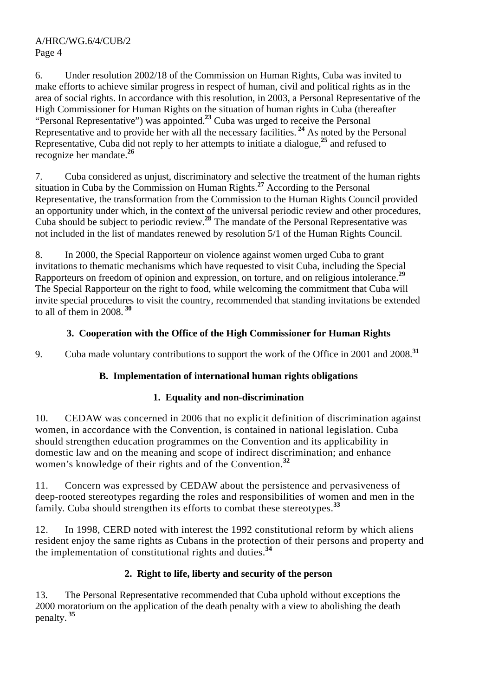6. Under resolution 2002/18 of the Commission on Human Rights, Cuba was invited to make efforts to achieve similar progress in respect of human, civil and political rights as in the area of social rights. In accordance with this resolution, in 2003, a Personal Representative of the High Commissioner for Human Rights on the situation of human rights in Cuba (thereafter "Personal Representative") was appointed.**<sup>23</sup>** Cuba was urged to receive the Personal Representative and to provide her with all the necessary facilities.<sup>24</sup> As noted by the Personal Representative, Cuba did not reply to her attempts to initiate a dialogue,**<sup>25</sup>** and refused to recognize her mandate.**<sup>26</sup>**

7. Cuba considered as unjust, discriminatory and selective the treatment of the human rights situation in Cuba by the Commission on Human Rights.**<sup>27</sup>** According to the Personal Representative, the transformation from the Commission to the Human Rights Council provided an opportunity under which, in the context of the universal periodic review and other procedures, Cuba should be subject to periodic review.**<sup>28</sup>** The mandate of the Personal Representative was not included in the list of mandates renewed by resolution 5/1 of the Human Rights Council.

8. In 2000, the Special Rapporteur on violence against women urged Cuba to grant invitations to thematic mechanisms which have requested to visit Cuba, including the Special Rapporteurs on freedom of opinion and expression, on torture, and on religious intolerance.**<sup>29</sup>** The Special Rapporteur on the right to food, while welcoming the commitment that Cuba will invite special procedures to visit the country, recommended that standing invitations be extended to all of them in 2008.**<sup>30</sup>**

# **3. Cooperation with the Office of the High Commissioner for Human Rights**

9. Cuba made voluntary contributions to support the work of the Office in 2001 and 2008.**<sup>31</sup>**

# **B. Implementation of international human rights obligations**

# **1. Equality and non-discrimination**

10. CEDAW was concerned in 2006 that no explicit definition of discrimination against women, in accordance with the Convention, is contained in national legislation. Cuba should strengthen education programmes on the Convention and its applicability in domestic law and on the meaning and scope of indirect discrimination; and enhance women's knowledge of their rights and of the Convention.**<sup>32</sup>**

11. Concern was expressed by CEDAW about the persistence and pervasiveness of deep-rooted stereotypes regarding the roles and responsibilities of women and men in the family. Cuba should strengthen its efforts to combat these stereotypes.**<sup>33</sup>**

12. In 1998, CERD noted with interest the 1992 constitutional reform by which aliens resident enjoy the same rights as Cubans in the protection of their persons and property and the implementation of constitutional rights and duties.**<sup>34</sup>**

# **2. Right to life, liberty and security of the person**

13. The Personal Representative recommended that Cuba uphold without exceptions the 2000 moratorium on the application of the death penalty with a view to abolishing the death penalty.**<sup>35</sup>**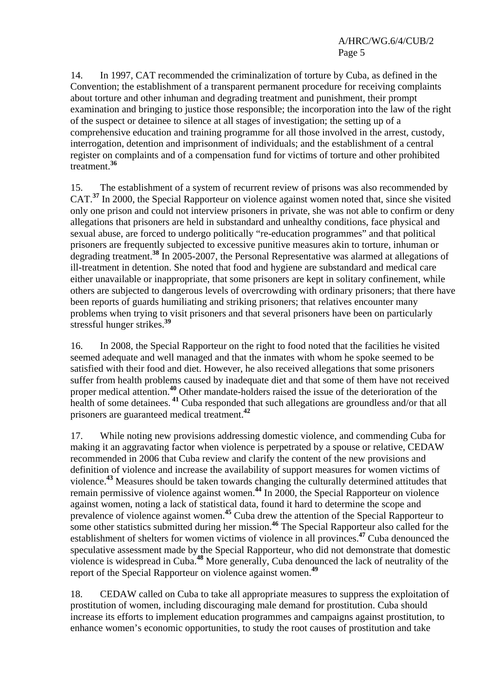14. In 1997, CAT recommended the criminalization of torture by Cuba, as defined in the Convention; the establishment of a transparent permanent procedure for receiving complaints about torture and other inhuman and degrading treatment and punishment, their prompt examination and bringing to justice those responsible; the incorporation into the law of the right of the suspect or detainee to silence at all stages of investigation; the setting up of a comprehensive education and training programme for all those involved in the arrest, custody, interrogation, detention and imprisonment of individuals; and the establishment of a central register on complaints and of a compensation fund for victims of torture and other prohibited treatment.**<sup>36</sup>**

15. The establishment of a system of recurrent review of prisons was also recommended by CAT.**<sup>37</sup>** In 2000, the Special Rapporteur on violence against women noted that, since she visited only one prison and could not interview prisoners in private, she was not able to confirm or deny allegations that prisoners are held in substandard and unhealthy conditions, face physical and sexual abuse, are forced to undergo politically "re-education programmes" and that political prisoners are frequently subjected to excessive punitive measures akin to torture, inhuman or degrading treatment.**<sup>38</sup>** In 2005-2007, the Personal Representative was alarmed at allegations of ill-treatment in detention. She noted that food and hygiene are substandard and medical care either unavailable or inappropriate, that some prisoners are kept in solitary confinement, while others are subjected to dangerous levels of overcrowding with ordinary prisoners; that there have been reports of guards humiliating and striking prisoners; that relatives encounter many problems when trying to visit prisoners and that several prisoners have been on particularly stressful hunger strikes.**<sup>39</sup>**

16. In 2008, the Special Rapporteur on the right to food noted that the facilities he visited seemed adequate and well managed and that the inmates with whom he spoke seemed to be satisfied with their food and diet. However, he also received allegations that some prisoners suffer from health problems caused by inadequate diet and that some of them have not received proper medical attention.**<sup>40</sup>** Other mandate-holders raised the issue of the deterioration of the health of some detainees.<sup>41</sup> Cuba responded that such allegations are groundless and/or that all prisoners are guaranteed medical treatment.**<sup>42</sup>**

17. While noting new provisions addressing domestic violence, and commending Cuba for making it an aggravating factor when violence is perpetrated by a spouse or relative, CEDAW recommended in 2006 that Cuba review and clarify the content of the new provisions and definition of violence and increase the availability of support measures for women victims of violence.**<sup>43</sup>** Measures should be taken towards changing the culturally determined attitudes that remain permissive of violence against women.**<sup>44</sup>** In 2000, the Special Rapporteur on violence against women, noting a lack of statistical data, found it hard to determine the scope and prevalence of violence against women.**<sup>45</sup>** Cuba drew the attention of the Special Rapporteur to some other statistics submitted during her mission.<sup>46</sup> The Special Rapporteur also called for the establishment of shelters for women victims of violence in all provinces.**<sup>47</sup>** Cuba denounced the speculative assessment made by the Special Rapporteur, who did not demonstrate that domestic violence is widespread in Cuba.**<sup>48</sup>** More generally, Cuba denounced the lack of neutrality of the report of the Special Rapporteur on violence against women.**<sup>49</sup>**

18. CEDAW called on Cuba to take all appropriate measures to suppress the exploitation of prostitution of women, including discouraging male demand for prostitution. Cuba should increase its efforts to implement education programmes and campaigns against prostitution, to enhance women's economic opportunities, to study the root causes of prostitution and take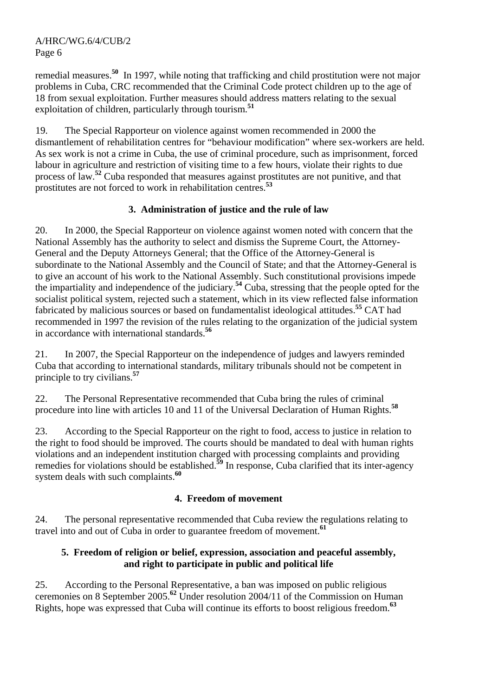remedial measures.**<sup>50</sup>** In 1997, while noting that trafficking and child prostitution were not major problems in Cuba, CRC recommended that the Criminal Code protect children up to the age of 18 from sexual exploitation. Further measures should address matters relating to the sexual exploitation of children, particularly through tourism.**<sup>51</sup>**

19. The Special Rapporteur on violence against women recommended in 2000 the dismantlement of rehabilitation centres for "behaviour modification" where sex-workers are held. As sex work is not a crime in Cuba, the use of criminal procedure, such as imprisonment, forced labour in agriculture and restriction of visiting time to a few hours, violate their rights to due process of law.**<sup>52</sup>** Cuba responded that measures against prostitutes are not punitive, and that prostitutes are not forced to work in rehabilitation centres.**<sup>53</sup>**

# **3. Administration of justice and the rule of law**

20. In 2000, the Special Rapporteur on violence against women noted with concern that the National Assembly has the authority to select and dismiss the Supreme Court, the Attorney-General and the Deputy Attorneys General; that the Office of the Attorney-General is subordinate to the National Assembly and the Council of State; and that the Attorney-General is to give an account of his work to the National Assembly. Such constitutional provisions impede the impartiality and independence of the judiciary.**<sup>54</sup>** Cuba, stressing that the people opted for the socialist political system, rejected such a statement, which in its view reflected false information fabricated by malicious sources or based on fundamentalist ideological attitudes.**<sup>55</sup>** CAT had recommended in 1997 the revision of the rules relating to the organization of the judicial system in accordance with international standards.**<sup>56</sup>**

21. In 2007, the Special Rapporteur on the independence of judges and lawyers reminded Cuba that according to international standards, military tribunals should not be competent in principle to try civilians.**<sup>57</sup>**

22. The Personal Representative recommended that Cuba bring the rules of criminal procedure into line with articles 10 and 11 of the Universal Declaration of Human Rights.**<sup>58</sup>**

23. According to the Special Rapporteur on the right to food, access to justice in relation to the right to food should be improved. The courts should be mandated to deal with human rights violations and an independent institution charged with processing complaints and providing remedies for violations should be established.**<sup>59</sup>** In response, Cuba clarified that its inter-agency system deals with such complaints.**<sup>60</sup>**

# **4. Freedom of movement**

24. The personal representative recommended that Cuba review the regulations relating to travel into and out of Cuba in order to guarantee freedom of movement.**<sup>61</sup>**

# **5. Freedom of religion or belief, expression, association and peaceful assembly, and right to participate in public and political life**

25. According to the Personal Representative, a ban was imposed on public religious ceremonies on 8 September 2005.**<sup>62</sup>** Under resolution 2004/11 of the Commission on Human Rights, hope was expressed that Cuba will continue its efforts to boost religious freedom.**<sup>63</sup>**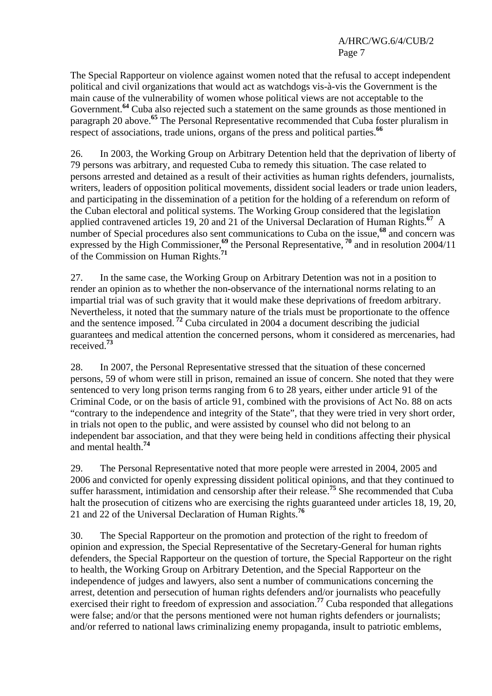The Special Rapporteur on violence against women noted that the refusal to accept independent political and civil organizations that would act as watchdogs vis-à-vis the Government is the main cause of the vulnerability of women whose political views are not acceptable to the Government.**<sup>64</sup>** Cuba also rejected such a statement on the same grounds as those mentioned in paragraph 20 above.**<sup>65</sup>** The Personal Representative recommended that Cuba foster pluralism in respect of associations, trade unions, organs of the press and political parties.**<sup>66</sup>**

26. In 2003, the Working Group on Arbitrary Detention held that the deprivation of liberty of 79 persons was arbitrary, and requested Cuba to remedy this situation. The case related to persons arrested and detained as a result of their activities as human rights defenders, journalists, writers, leaders of opposition political movements, dissident social leaders or trade union leaders, and participating in the dissemination of a petition for the holding of a referendum on reform of the Cuban electoral and political systems. The Working Group considered that the legislation applied contravened articles 19, 20 and 21 of the Universal Declaration of Human Rights.**<sup>67</sup>** A number of Special procedures also sent communications to Cuba on the issue,**<sup>68</sup>** and concern was expressed by the High Commissioner,<sup>69</sup> the Personal Representative,<sup>70</sup> and in resolution 2004/11 of the Commission on Human Rights.**<sup>71</sup>**

27. In the same case, the Working Group on Arbitrary Detention was not in a position to render an opinion as to whether the non-observance of the international norms relating to an impartial trial was of such gravity that it would make these deprivations of freedom arbitrary. Nevertheless, it noted that the summary nature of the trials must be proportionate to the offence and the sentence imposed.**<sup>72</sup>** Cuba circulated in 2004 a document describing the judicial guarantees and medical attention the concerned persons, whom it considered as mercenaries, had received.**<sup>73</sup>**

28. In 2007, the Personal Representative stressed that the situation of these concerned persons, 59 of whom were still in prison, remained an issue of concern. She noted that they were sentenced to very long prison terms ranging from 6 to 28 years, either under article 91 of the Criminal Code, or on the basis of article 91, combined with the provisions of Act No. 88 on acts "contrary to the independence and integrity of the State", that they were tried in very short order, in trials not open to the public, and were assisted by counsel who did not belong to an independent bar association, and that they were being held in conditions affecting their physical and mental health.**<sup>74</sup>**

29. The Personal Representative noted that more people were arrested in 2004, 2005 and 2006 and convicted for openly expressing dissident political opinions, and that they continued to suffer harassment, intimidation and censorship after their release.**<sup>75</sup>** She recommended that Cuba halt the prosecution of citizens who are exercising the rights guaranteed under articles 18, 19, 20, 21 and 22 of the Universal Declaration of Human Rights.**<sup>76</sup>**

30. The Special Rapporteur on the promotion and protection of the right to freedom of opinion and expression, the Special Representative of the Secretary-General for human rights defenders, the Special Rapporteur on the question of torture, the Special Rapporteur on the right to health, the Working Group on Arbitrary Detention, and the Special Rapporteur on the independence of judges and lawyers, also sent a number of communications concerning the arrest, detention and persecution of human rights defenders and/or journalists who peacefully exercised their right to freedom of expression and association.<sup>77</sup> Cuba responded that allegations were false; and/or that the persons mentioned were not human rights defenders or journalists; and/or referred to national laws criminalizing enemy propaganda, insult to patriotic emblems,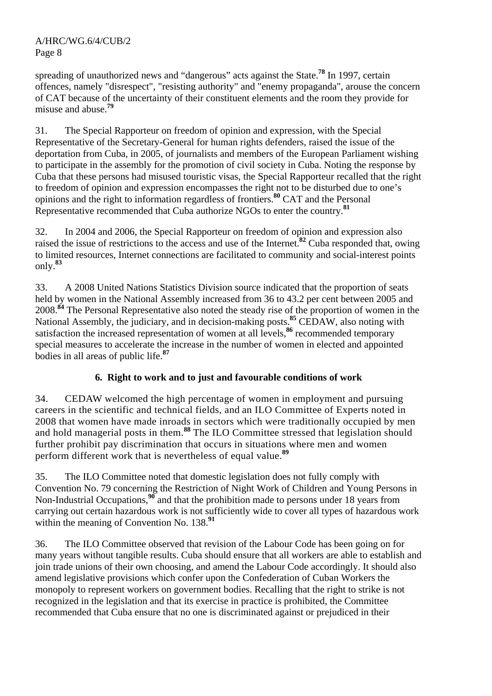spreading of unauthorized news and "dangerous" acts against the State.**<sup>78</sup>** In 1997, certain offences, namely "disrespect", "resisting authority" and "enemy propaganda", arouse the concern of CAT because of the uncertainty of their constituent elements and the room they provide for misuse and abuse.**<sup>79</sup>**

31. The Special Rapporteur on freedom of opinion and expression, with the Special Representative of the Secretary-General for human rights defenders, raised the issue of the deportation from Cuba, in 2005, of journalists and members of the European Parliament wishing to participate in the assembly for the promotion of civil society in Cuba. Noting the response by Cuba that these persons had misused touristic visas, the Special Rapporteur recalled that the right to freedom of opinion and expression encompasses the right not to be disturbed due to one's opinions and the right to information regardless of frontiers.**<sup>80</sup>** CAT and the Personal Representative recommended that Cuba authorize NGOs to enter the country.**<sup>81</sup>**

32. In 2004 and 2006, the Special Rapporteur on freedom of opinion and expression also raised the issue of restrictions to the access and use of the Internet.**<sup>82</sup>** Cuba responded that, owing to limited resources, Internet connections are facilitated to community and social-interest points only.**<sup>83</sup>**

33. A 2008 United Nations Statistics Division source indicated that the proportion of seats held by women in the National Assembly increased from 36 to 43.2 per cent between 2005 and 2008.**<sup>84</sup>** The Personal Representative also noted the steady rise of the proportion of women in the National Assembly, the judiciary, and in decision-making posts.**<sup>85</sup>** CEDAW, also noting with satisfaction the increased representation of women at all levels,**<sup>86</sup>** recommended temporary special measures to accelerate the increase in the number of women in elected and appointed bodies in all areas of public life.**<sup>87</sup>**

# **6. Right to work and to just and favourable conditions of work**

34. CEDAW welcomed the high percentage of women in employment and pursuing careers in the scientific and technical fields, and an ILO Committee of Experts noted in 2008 that women have made inroads in sectors which were traditionally occupied by men and hold managerial posts in them.<sup>88</sup> The ILO Committee stressed that legislation should further prohibit pay discrimination that occurs in situations where men and women perform different work that is nevertheless of equal value.**<sup>89</sup>**

35. The ILO Committee noted that domestic legislation does not fully comply with Convention No. 79 concerning the Restriction of Night Work of Children and Young Persons in Non-Industrial Occupations,<sup>96</sup> and that the prohibition made to persons under 18 years from carrying out certain hazardous work is not sufficiently wide to cover all types of hazardous work within the meaning of Convention No. 138.<sup>91</sup>

36. The ILO Committee observed that revision of the Labour Code has been going on for many years without tangible results. Cuba should ensure that all workers are able to establish and join trade unions of their own choosing, and amend the Labour Code accordingly. It should also amend legislative provisions which confer upon the Confederation of Cuban Workers the monopoly to represent workers on government bodies. Recalling that the right to strike is not recognized in the legislation and that its exercise in practice is prohibited, the Committee recommended that Cuba ensure that no one is discriminated against or prejudiced in their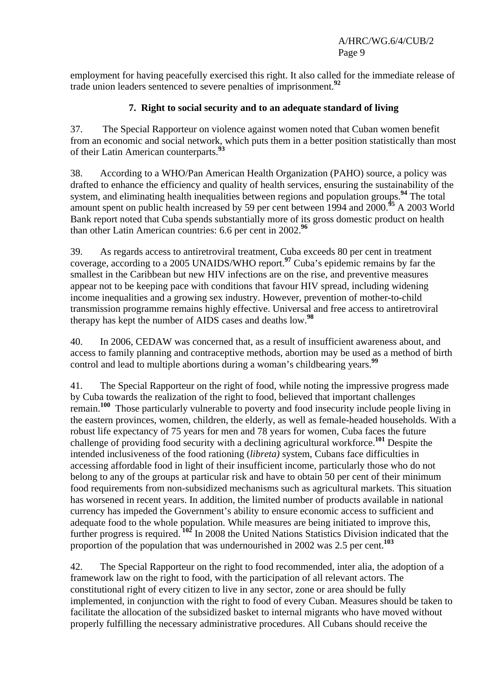employment for having peacefully exercised this right. It also called for the immediate release of trade union leaders sentenced to severe penalties of imprisonment.**<sup>92</sup>**

#### **7. Right to social security and to an adequate standard of living**

37. The Special Rapporteur on violence against women noted that Cuban women benefit from an economic and social network, which puts them in a better position statistically than most of their Latin American counterparts.**<sup>93</sup>**

38. According to a WHO/Pan American Health Organization (PAHO) source, a policy was drafted to enhance the efficiency and quality of health services, ensuring the sustainability of the system, and eliminating health inequalities between regions and population groups.**<sup>94</sup>** The total amount spent on public health increased by 59 per cent between 1994 and 2000.**<sup>95</sup>** A 2003 World Bank report noted that Cuba spends substantially more of its gross domestic product on health than other Latin American countries: 6.6 per cent in 2002.**<sup>96</sup>**

39. As regards access to antiretroviral treatment, Cuba exceeds 80 per cent in treatment coverage, according to a 2005 UNAIDS/WHO report.**<sup>97</sup>** Cuba's epidemic remains by far the smallest in the Caribbean but new HIV infections are on the rise, and preventive measures appear not to be keeping pace with conditions that favour HIV spread, including widening income inequalities and a growing sex industry. However, prevention of mother-to-child transmission programme remains highly effective. Universal and free access to antiretroviral therapy has kept the number of AIDS cases and deaths low.**<sup>98</sup>**

40. In 2006, CEDAW was concerned that, as a result of insufficient awareness about, and access to family planning and contraceptive methods, abortion may be used as a method of birth control and lead to multiple abortions during a woman's childbearing years.**<sup>99</sup>**

41. The Special Rapporteur on the right of food, while noting the impressive progress made by Cuba towards the realization of the right to food, believed that important challenges remain.**<sup>100</sup>** Those particularly vulnerable to poverty and food insecurity include people living in the eastern provinces, women, children, the elderly, as well as female-headed households. With a robust life expectancy of 75 years for men and 78 years for women, Cuba faces the future challenge of providing food security with a declining agricultural workforce.**<sup>101</sup>** Despite the intended inclusiveness of the food rationing (*libreta)* system, Cubans face difficulties in accessing affordable food in light of their insufficient income, particularly those who do not belong to any of the groups at particular risk and have to obtain 50 per cent of their minimum food requirements from non-subsidized mechanisms such as agricultural markets. This situation has worsened in recent years. In addition, the limited number of products available in national currency has impeded the Government's ability to ensure economic access to sufficient and adequate food to the whole population. While measures are being initiated to improve this, further progress is required.<sup>102</sup> In 2008 the United Nations Statistics Division indicated that the proportion of the population that was undernourished in 2002 was 2.5 per cent.**<sup>103</sup>**

42. The Special Rapporteur on the right to food recommended, inter alia, the adoption of a framework law on the right to food, with the participation of all relevant actors. The constitutional right of every citizen to live in any sector, zone or area should be fully implemented, in conjunction with the right to food of every Cuban. Measures should be taken to facilitate the allocation of the subsidized basket to internal migrants who have moved without properly fulfilling the necessary administrative procedures. All Cubans should receive the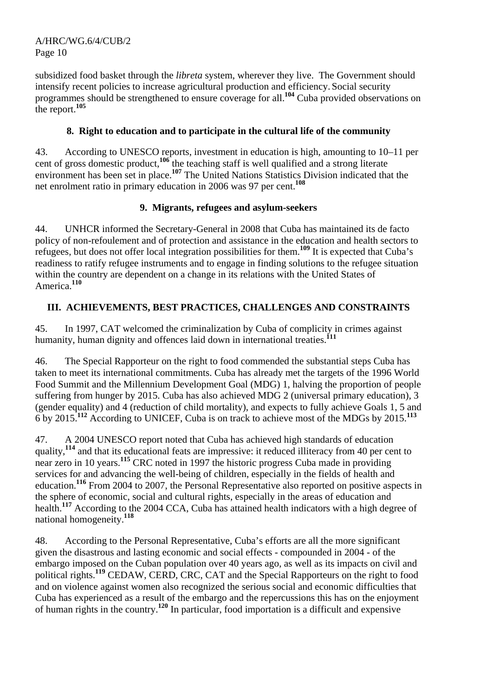A/HRC/WG.6/4/CUB/2 Page 10

subsidized food basket through the *libreta* system, wherever they live. The Government should intensify recent policies to increase agricultural production and efficiency. Social security programmes should be strengthened to ensure coverage for all.**<sup>104</sup>** Cuba provided observations on the report.**<sup>105</sup>**

#### **8. Right to education and to participate in the cultural life of the community**

43. According to UNESCO reports, investment in education is high, amounting to 10–11 per cent of gross domestic product,**<sup>106</sup>** the teaching staff is well qualified and a strong literate environment has been set in place.**<sup>107</sup>** The United Nations Statistics Division indicated that the net enrolment ratio in primary education in 2006 was 97 per cent.**<sup>108</sup>**

#### **9. Migrants, refugees and asylum-seekers**

44. UNHCR informed the Secretary-General in 2008 that Cuba has maintained its de facto policy of non-refoulement and of protection and assistance in the education and health sectors to refugees, but does not offer local integration possibilities for them.**<sup>109</sup>** It is expected that Cuba's readiness to ratify refugee instruments and to engage in finding solutions to the refugee situation within the country are dependent on a change in its relations with the United States of America.**<sup>110</sup>**

# **III. ACHIEVEMENTS, BEST PRACTICES, CHALLENGES AND CONSTRAINTS**

45. In 1997, CAT welcomed the criminalization by Cuba of complicity in crimes against humanity, human dignity and offences laid down in international treaties.<sup>111</sup>

46. The Special Rapporteur on the right to food commended the substantial steps Cuba has taken to meet its international commitments. Cuba has already met the targets of the 1996 World Food Summit and the Millennium Development Goal (MDG) 1, halving the proportion of people suffering from hunger by 2015. Cuba has also achieved MDG 2 (universal primary education), 3 (gender equality) and 4 (reduction of child mortality), and expects to fully achieve Goals 1, 5 and 6 by 2015.**<sup>112</sup>** According to UNICEF, Cuba is on track to achieve most of the MDGs by 2015.**<sup>113</sup>**

47. A 2004 UNESCO report noted that Cuba has achieved high standards of education quality,<sup>114</sup> and that its educational feats are impressive: it reduced illiteracy from 40 per cent to near zero in 10 years.<sup>115</sup> CRC noted in 1997 the historic progress Cuba made in providing services for and advancing the well-being of children, especially in the fields of health and education.**<sup>116</sup>** From 2004 to 2007, the Personal Representative also reported on positive aspects in the sphere of economic, social and cultural rights, especially in the areas of education and health.**<sup>117</sup>** According to the 2004 CCA, Cuba has attained health indicators with a high degree of national homogeneity.**<sup>118</sup>**

48. According to the Personal Representative, Cuba's efforts are all the more significant given the disastrous and lasting economic and social effects - compounded in 2004 - of the embargo imposed on the Cuban population over 40 years ago, as well as its impacts on civil and political rights.**<sup>119</sup>** CEDAW, CERD, CRC, CAT and the Special Rapporteurs on the right to food and on violence against women also recognized the serious social and economic difficulties that Cuba has experienced as a result of the embargo and the repercussions this has on the enjoyment of human rights in the country.**<sup>120</sup>** In particular, food importation is a difficult and expensive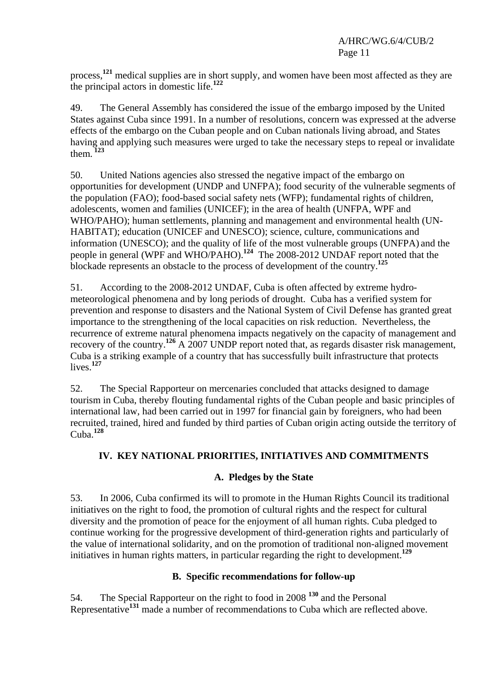process,**<sup>121</sup>** medical supplies are in short supply, and women have been most affected as they are the principal actors in domestic life.**<sup>122</sup>**

49. The General Assembly has considered the issue of the embargo imposed by the United States against Cuba since 1991. In a number of resolutions, concern was expressed at the adverse effects of the embargo on the Cuban people and on Cuban nationals living abroad, and States having and applying such measures were urged to take the necessary steps to repeal or invalidate them.**<sup>123</sup>**

50. United Nations agencies also stressed the negative impact of the embargo on opportunities for development (UNDP and UNFPA); food security of the vulnerable segments of the population (FAO); food-based social safety nets (WFP); fundamental rights of children, adolescents, women and families (UNICEF); in the area of health (UNFPA, WPF and WHO/PAHO); human settlements, planning and management and environmental health (UN-HABITAT); education (UNICEF and UNESCO); science, culture, communications and information (UNESCO); and the quality of life of the most vulnerable groups (UNFPA) and the people in general (WPF and WHO/PAHO).**<sup>124</sup>** The 2008-2012 UNDAF report noted that the blockade represents an obstacle to the process of development of the country.**<sup>125</sup>**

51. According to the 2008-2012 UNDAF, Cuba is often affected by extreme hydrometeorological phenomena and by long periods of drought. Cuba has a verified system for prevention and response to disasters and the National System of Civil Defense has granted great importance to the strengthening of the local capacities on risk reduction. Nevertheless, the recurrence of extreme natural phenomena impacts negatively on the capacity of management and recovery of the country.**<sup>126</sup>** A 2007 UNDP report noted that, as regards disaster risk management, Cuba is a striking example of a country that has successfully built infrastructure that protects lives.**<sup>127</sup>**

52. The Special Rapporteur on mercenaries concluded that attacks designed to damage tourism in Cuba, thereby flouting fundamental rights of the Cuban people and basic principles of international law, had been carried out in 1997 for financial gain by foreigners, who had been recruited, trained, hired and funded by third parties of Cuban origin acting outside the territory of Cuba.**<sup>128</sup>**

# **IV. KEY NATIONAL PRIORITIES, INITIATIVES AND COMMITMENTS**

# **A. Pledges by the State**

53. In 2006, Cuba confirmed its will to promote in the Human Rights Council its traditional initiatives on the right to food, the promotion of cultural rights and the respect for cultural diversity and the promotion of peace for the enjoyment of all human rights. Cuba pledged to continue working for the progressive development of third-generation rights and particularly of the value of international solidarity, and on the promotion of traditional non-aligned movement initiatives in human rights matters, in particular regarding the right to development.**<sup>129</sup>**

# **B. Specific recommendations for follow-up**

54. The Special Rapporteur on the right to food in 2008 **<sup>130</sup>** and the Personal **Representative<sup>131</sup>** made a number of recommendations to Cuba which are reflected above.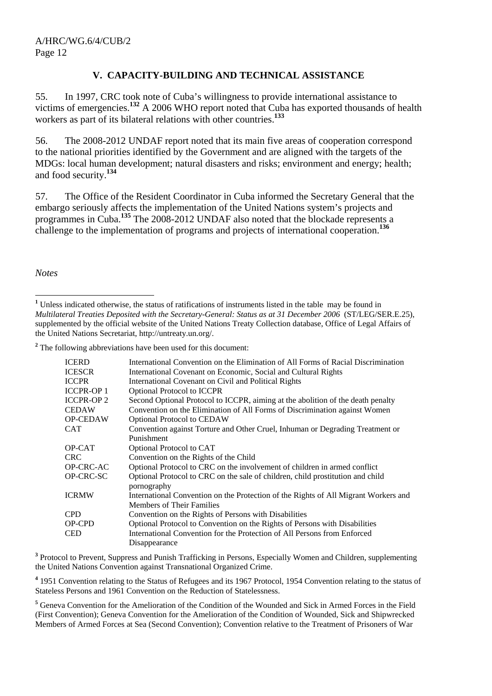#### **V. CAPACITY-BUILDING AND TECHNICAL ASSISTANCE**

55. In 1997, CRC took note of Cuba's willingness to provide international assistance to victims of emergencies.<sup>132</sup> A 2006 WHO report noted that Cuba has exported thousands of health workers as part of its bilateral relations with other countries.**<sup>133</sup>**

56. The 2008-2012 UNDAF report noted that its main five areas of cooperation correspond to the national priorities identified by the Government and are aligned with the targets of the MDGs: local human development; natural disasters and risks; environment and energy; health; and food security.**<sup>134</sup>**

57. The Office of the Resident Coordinator in Cuba informed the Secretary General that the embargo seriously affects the implementation of the United Nations system's projects and programmes in Cuba.**<sup>135</sup>** The 2008-2012 UNDAF also noted that the blockade represents a challenge to the implementation of programs and projects of international cooperation.**<sup>136</sup>**

*Notes* 

<sup>&</sup>lt;sup>2</sup> The following abbreviations have been used for this document:

| <b>ICERD</b>      | International Convention on the Elimination of All Forms of Racial Discrimination   |
|-------------------|-------------------------------------------------------------------------------------|
| <b>ICESCR</b>     | International Covenant on Economic, Social and Cultural Rights                      |
| <b>ICCPR</b>      | International Covenant on Civil and Political Rights                                |
| <b>ICCPR-OP 1</b> | <b>Optional Protocol to ICCPR</b>                                                   |
| <b>ICCPR-OP 2</b> | Second Optional Protocol to ICCPR, aiming at the abolition of the death penalty     |
| <b>CEDAW</b>      | Convention on the Elimination of All Forms of Discrimination against Women          |
| <b>OP-CEDAW</b>   | <b>Optional Protocol to CEDAW</b>                                                   |
| CAT               | Convention against Torture and Other Cruel, Inhuman or Degrading Treatment or       |
|                   | Punishment                                                                          |
| OP-CAT            | Optional Protocol to CAT                                                            |
| <b>CRC</b>        | Convention on the Rights of the Child                                               |
| <b>OP-CRC-AC</b>  | Optional Protocol to CRC on the involvement of children in armed conflict           |
| OP-CRC-SC         | Optional Protocol to CRC on the sale of children, child prostitution and child      |
|                   | pornography                                                                         |
| <b>ICRMW</b>      | International Convention on the Protection of the Rights of All Migrant Workers and |
|                   | <b>Members of Their Families</b>                                                    |
| CPD               | Convention on the Rights of Persons with Disabilities                               |
| OP-CPD            | Optional Protocol to Convention on the Rights of Persons with Disabilities          |
| CED               | International Convention for the Protection of All Persons from Enforced            |
|                   | Disappearance                                                                       |
|                   |                                                                                     |

<sup>3</sup> Protocol to Prevent, Suppress and Punish Trafficking in Persons, Especially Women and Children, supplementing the United Nations Convention against Transnational Organized Crime.

<sup>4</sup> 1951 Convention relating to the Status of Refugees and its 1967 Protocol, 1954 Convention relating to the status of Stateless Persons and 1961 Convention on the Reduction of Statelessness.

<sup>5</sup> Geneva Convention for the Amelioration of the Condition of the Wounded and Sick in Armed Forces in the Field (First Convention); Geneva Convention for the Amelioration of the Condition of Wounded, Sick and Shipwrecked Members of Armed Forces at Sea (Second Convention); Convention relative to the Treatment of Prisoners of War

 $\overline{a}$ <sup>1</sup> Unless indicated otherwise, the status of ratifications of instruments listed in the table may be found in *Multilateral Treaties Deposited with the Secretary-General: Status as at 31 December 2006* (ST/LEG/SER.E.25), supplemented by the official website of the United Nations Treaty Collection database, Office of Legal Affairs of the United Nations Secretariat, http://untreaty.un.org/.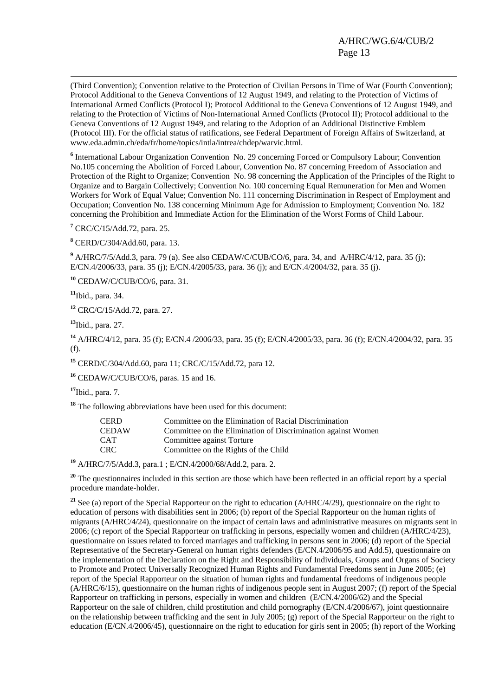(Third Convention); Convention relative to the Protection of Civilian Persons in Time of War (Fourth Convention); Protocol Additional to the Geneva Conventions of 12 August 1949, and relating to the Protection of Victims of International Armed Conflicts (Protocol I); Protocol Additional to the Geneva Conventions of 12 August 1949, and relating to the Protection of Victims of Non-International Armed Conflicts (Protocol II); Protocol additional to the Geneva Conventions of 12 August 1949, and relating to the Adoption of an Additional Distinctive Emblem (Protocol III). For the official status of ratifications, see Federal Department of Foreign Affairs of Switzerland, at www.eda.admin.ch/eda/fr/home/topics/intla/intrea/chdep/warvic.html.

<sup>6</sup> International Labour Organization Convention No. 29 concerning Forced or Compulsory Labour; Convention No.105 concerning the Abolition of Forced Labour, Convention No. 87 concerning Freedom of Association and Protection of the Right to Organize; Convention No. 98 concerning the Application of the Principles of the Right to Organize and to Bargain Collectively; Convention No. 100 concerning Equal Remuneration for Men and Women Workers for Work of Equal Value; Convention No. 111 concerning Discrimination in Respect of Employment and Occupation; Convention No. 138 concerning Minimum Age for Admission to Employment; Convention No. 182 concerning the Prohibition and Immediate Action for the Elimination of the Worst Forms of Child Labour.

**7** CRC/C/15/Add.72, para. 25.

**8** CERD/C/304/Add.60, para. 13.

<sup>9</sup> A/HRC/7/5/Add.3, para. 79 (a). See also CEDAW/C/CUB/CO/6, para. 34, and A/HRC/4/12, para. 35 (j); E/CN.4/2006/33, para. 35 (j); E/CN.4/2005/33, para. 36 (j); and E/CN.4/2004/32, para. 35 (j).

**<sup>10</sup>** CEDAW/C/CUB/CO/6, para. 31.

**<sup>11</sup>**Ibid., para. 34.

**<sup>12</sup>** CRC/C/15/Add.72, para. 27.

**<sup>13</sup>**Ibid., para. 27.

**<sup>14</sup>** A/HRC/4/12, para. 35 (f); E/CN.4 /2006/33, para. 35 (f); E/CN.4/2005/33, para. 36 (f); E/CN.4/2004/32, para. 35 (f).

**<sup>15</sup>** CERD/C/304/Add.60, para 11; CRC/C/15/Add.72, para 12.

**<sup>16</sup>** CEDAW/C/CUB/CO/6, paras. 15 and 16.

**<sup>17</sup>**Ibid., para. 7.

**<sup>18</sup>** The following abbreviations have been used for this document:

| <b>CERD</b>  | Committee on the Elimination of Racial Discrimination        |
|--------------|--------------------------------------------------------------|
| <b>CEDAW</b> | Committee on the Elimination of Discrimination against Women |
| <b>CAT</b>   | Committee against Torture                                    |
| CRC.         | Committee on the Rights of the Child                         |
|              |                                                              |

**<sup>19</sup>** A/HRC/7/5/Add.3, para.1 ; E/CN.4/2000/68/Add.2, para. 2.

<sup>20</sup> The questionnaires included in this section are those which have been reflected in an official report by a special procedure mandate-holder.

<sup>21</sup> See (a) report of the Special Rapporteur on the right to education (A/HRC/4/29), questionnaire on the right to education of persons with disabilities sent in 2006; (b) report of the Special Rapporteur on the human rights of migrants (A/HRC/4/24), questionnaire on the impact of certain laws and administrative measures on migrants sent in 2006; (c) report of the Special Rapporteur on trafficking in persons, especially women and children (A/HRC/4/23), questionnaire on issues related to forced marriages and trafficking in persons sent in 2006; (d) report of the Special Representative of the Secretary-General on human rights defenders (E/CN.4/2006/95 and Add.5), questionnaire on the implementation of the Declaration on the Right and Responsibility of Individuals, Groups and Organs of Society to Promote and Protect Universally Recognized Human Rights and Fundamental Freedoms sent in June 2005; (e) report of the Special Rapporteur on the situation of human rights and fundamental freedoms of indigenous people (A/HRC/6/15), questionnaire on the human rights of indigenous people sent in August 2007; (f) report of the Special Rapporteur on trafficking in persons, especially in women and children (E/CN.4/2006/62) and the Special Rapporteur on the sale of children, child prostitution and child pornography (E/CN.4/2006/67), joint questionnaire on the relationship between trafficking and the sent in July 2005; (g) report of the Special Rapporteur on the right to education (E/CN.4/2006/45), questionnaire on the right to education for girls sent in 2005; (h) report of the Working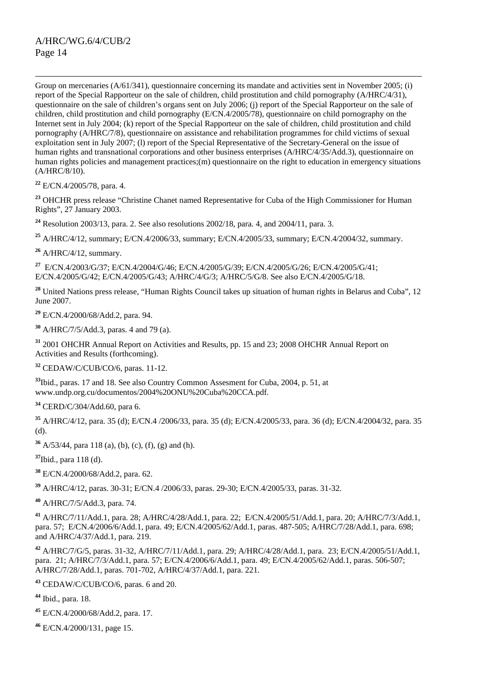Group on mercenaries (A/61/341), questionnaire concerning its mandate and activities sent in November 2005; (i) report of the Special Rapporteur on the sale of children, child prostitution and child pornography (A/HRC/4/31), questionnaire on the sale of children's organs sent on July 2006; (j) report of the Special Rapporteur on the sale of children, child prostitution and child pornography (E/CN.4/2005/78), questionnaire on child pornography on the Internet sent in July 2004; (k) report of the Special Rapporteur on the sale of children, child prostitution and child pornography (A/HRC/7/8), questionnaire on assistance and rehabilitation programmes for child victims of sexual exploitation sent in July 2007; (l) report of the Special Representative of the Secretary-General on the issue of human rights and transnational corporations and other business enterprises (A/HRC/4/35/Add.3), questionnaire on human rights policies and management practices;(m) questionnaire on the right to education in emergency situations (A/HRC/8/10).

**<sup>22</sup>** E/CN.4/2005/78, para. 4.

**<sup>23</sup>** OHCHR press release "Christine Chanet named Representative for Cuba of the High Commissioner for Human Rights", 27 January 2003.

**<sup>24</sup>** Resolution 2003/13, para. 2. See also resolutions 2002/18, para. 4, and 2004/11, para. 3.

**<sup>25</sup>** A/HRC/4/12, summary; E/CN.4/2006/33, summary; E/CN.4/2005/33, summary; E/CN.4/2004/32, summary.

**<sup>26</sup>** A/HRC/4/12, summary.

**<sup>27</sup>** E/CN.4/2003/G/37; E/CN.4/2004/G/46; E/CN.4/2005/G/39; E/CN.4/2005/G/26; E/CN.4/2005/G/41; E/CN.4/2005/G/42; E/CN.4/2005/G/43; A/HRC/4/G/3; A/HRC/5/G/8. See also E/CN.4/2005/G/18.

<sup>28</sup> United Nations press release, "Human Rights Council takes up situation of human rights in Belarus and Cuba", 12 June 2007.

**<sup>29</sup>** E/CN.4/2000/68/Add.2, para. 94.

**<sup>30</sup>** A/HRC/7/5/Add.3, paras. 4 and 79 (a).

**<sup>31</sup>** 2001 OHCHR Annual Report on Activities and Results, pp. 15 and 23; 2008 OHCHR Annual Report on Activities and Results (forthcoming).

**<sup>32</sup>** CEDAW/C/CUB/CO/6, paras. 11-12.

**<sup>33</sup>**Ibid., paras. 17 and 18. See also Country Common Assesment for Cuba, 2004, p. 51, at www.undp.org.cu/documentos/2004%20ONU%20Cuba%20CCA.pdf.

**<sup>34</sup>** CERD/C/304/Add.60, para 6.

**<sup>35</sup>** A/HRC/4/12, para. 35 (d); E/CN.4 /2006/33, para. 35 (d); E/CN.4/2005/33, para. 36 (d); E/CN.4/2004/32, para. 35 (d).

**<sup>36</sup>** A/53/44, para 118 (a), (b), (c), (f), (g) and (h).

**<sup>37</sup>**Ibid., para 118 (d).

**<sup>38</sup>** E/CN.4/2000/68/Add.2, para. 62.

**<sup>39</sup>** A/HRC/4/12, paras. 30-31; E/CN.4 /2006/33, paras. 29-30; E/CN.4/2005/33, paras. 31-32.

**<sup>40</sup>** A/HRC/7/5/Add.3, para. 74.

**<sup>41</sup>** A/HRC/7/11/Add.1, para. 28; A/HRC/4/28/Add.1, para. 22; E/CN.4/2005/51/Add.1, para. 20; A/HRC/7/3/Add.1, para. 57; E/CN.4/2006/6/Add.1, para. 49; E/CN.4/2005/62/Add.1, paras. 487-505; A/HRC/7/28/Add.1, para. 698; and A/HRC/4/37/Add.1, para. 219.

**<sup>42</sup>** A/HRC/7/G/5, paras. 31-32, A/HRC/7/11/Add.1, para. 29; A/HRC/4/28/Add.1, para. 23; E/CN.4/2005/51/Add.1, para. 21; A/HRC/7/3/Add.1, para. 57; E/CN.4/2006/6/Add.1, para. 49; E/CN.4/2005/62/Add.1, paras. 506-507; A/HRC/7/28/Add.1, paras. 701-702, A/HRC/4/37/Add.1, para. 221.

**<sup>43</sup>** CEDAW/C/CUB/CO/6, paras. 6 and 20.

**<sup>44</sup>** Ibid., para. 18.

**<sup>45</sup>** E/CN.4/2000/68/Add.2, para. 17.

**<sup>46</sup>** E/CN.4/2000/131, page 15.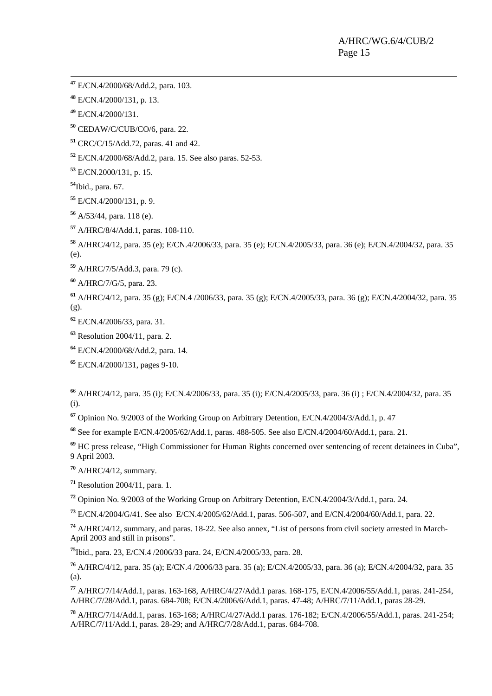**<sup>47</sup>** E/CN.4/2000/68/Add.2, para. 103.

E/CN.4/2000/131, p. 13.

E/CN.4/2000/131.

CEDAW/C/CUB/CO/6, para. 22.

CRC/C/15/Add.72, paras. 41 and 42.

E/CN.4/2000/68/Add.2, para. 15. See also paras. 52-53.

E/CN.2000/131, p. 15.

Ibid., para. 67.

E/CN.4/2000/131, p. 9.

A/53/44, para. 118 (e).

A/HRC/8/4/Add.1, paras. 108-110.

 A/HRC/4/12, para. 35 (e); E/CN.4/2006/33, para. 35 (e); E/CN.4/2005/33, para. 36 (e); E/CN.4/2004/32, para. 35 (e).

A/HRC/7/5/Add.3, para. 79 (c).

A/HRC/7/G/5, para. 23.

 A/HRC/4/12, para. 35 (g); E/CN.4 /2006/33, para. 35 (g); E/CN.4/2005/33, para. 36 (g); E/CN.4/2004/32, para. 35 (g).

E/CN.4/2006/33, para. 31.

Resolution 2004/11, para. 2.

E/CN.4/2000/68/Add.2, para. 14.

E/CN.4/2000/131, pages 9-10.

 A/HRC/4/12, para. 35 (i); E/CN.4/2006/33, para. 35 (i); E/CN.4/2005/33, para. 36 (i) ; E/CN.4/2004/32, para. 35 (i).

Opinion No. 9/2003 of the Working Group on Arbitrary Detention, E/CN.4/2004/3/Add.1, p. 47

See for example E/CN.4/2005/62/Add.1, paras. 488-505. See also E/CN.4/2004/60/Add.1, para. 21.

 HC press release, "High Commissioner for Human Rights concerned over sentencing of recent detainees in Cuba", 9 April 2003.

A/HRC/4/12, summary.

Resolution 2004/11, para. 1.

Opinion No. 9/2003 of the Working Group on Arbitrary Detention, E/CN.4/2004/3/Add.1, para. 24.

E/CN.4/2004/G/41. See also E/CN.4/2005/62/Add.1, paras. 506-507, and E/CN.4/2004/60/Add.1, para. 22.

 A/HRC/4/12, summary, and paras. 18-22. See also annex, "List of persons from civil society arrested in March-April 2003 and still in prisons".

Ibid., para. 23, E/CN.4 /2006/33 para. 24, E/CN.4/2005/33, para. 28.

 A/HRC/4/12, para. 35 (a); E/CN.4 /2006/33 para. 35 (a); E/CN.4/2005/33, para. 36 (a); E/CN.4/2004/32, para. 35 (a).

 A/HRC/7/14/Add.1, paras. 163-168, A/HRC/4/27/Add.1 paras. 168-175, E/CN.4/2006/55/Add.1, paras. 241-254, A/HRC/7/28/Add.1, paras. 684-708; E/CN.4/2006/6/Add.1, paras. 47-48; A/HRC/7/11/Add.1, paras 28-29.

 A/HRC/7/14/Add.1, paras. 163-168; A/HRC/4/27/Add.1 paras. 176-182; E/CN.4/2006/55/Add.1, paras. 241-254; A/HRC/7/11/Add.1, paras. 28-29; and A/HRC/7/28/Add.1, paras. 684-708.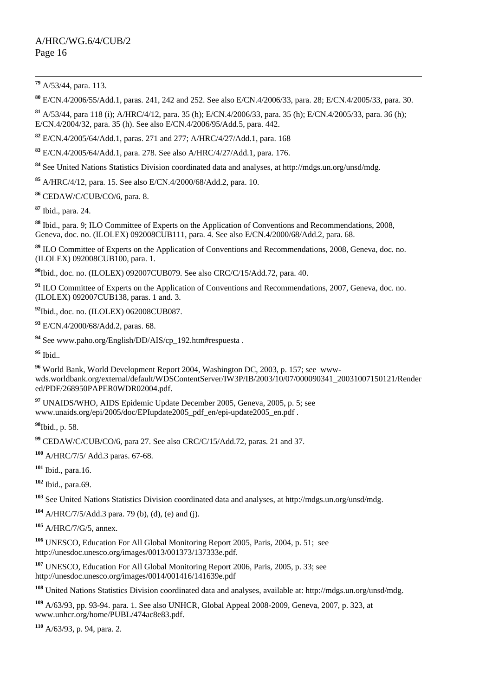#### A/HRC/WG.6/4/CUB/2 Page 16

**<sup>79</sup>** A/53/44, para. 113.

E/CN.4/2006/55/Add.1, paras. 241, 242 and 252. See also E/CN.4/2006/33, para. 28; E/CN.4/2005/33, para. 30.

 A/53/44, para 118 (i); A/HRC/4/12, para. 35 (h); E/CN.4/2006/33, para. 35 (h); E/CN.4/2005/33, para. 36 (h); E/CN.4/2004/32, para. 35 (h). See also E/CN.4/2006/95/Add.5, para. 442.

E/CN.4/2005/64/Add.1, paras. 271 and 277; A/HRC/4/27/Add.1, para. 168

E/CN.4/2005/64/Add.1, para. 278. See also A/HRC/4/27/Add.1, para. 176.

See United Nations Statistics Division coordinated data and analyses, at http://mdgs.un.org/unsd/mdg.

A/HRC/4/12, para. 15. See also E/CN.4/2000/68/Add.2, para. 10.

CEDAW/C/CUB/CO/6, para. 8.

Ibid., para. 24.

 Ibid., para. 9; ILO Committee of Experts on the Application of Conventions and Recommendations, 2008, Geneva, doc. no. (ILOLEX) 092008CUB111, para. 4. See also E/CN.4/2000/68/Add.2, para. 68.

 ILO Committee of Experts on the Application of Conventions and Recommendations, 2008, Geneva, doc. no. (ILOLEX) 092008CUB100, para. 1.

Ibid., doc. no. (ILOLEX) 092007CUB079. See also CRC/C/15/Add.72, para. 40.

<sup>91</sup> ILO Committee of Experts on the Application of Conventions and Recommendations, 2007, Geneva, doc. no. (ILOLEX) 092007CUB138, paras. 1 and. 3.

Ibid., doc. no. (ILOLEX) 062008CUB087.

E/CN.4/2000/68/Add.2, paras. 68.

See www.paho.org/English/DD/AIS/cp\_192.htm#respuesta .

Ibid..

 World Bank, World Development Report 2004, Washington DC, 2003, p. 157; see wwwwds.worldbank.org/external/default/WDSContentServer/IW3P/IB/2003/10/07/000090341\_20031007150121/Render ed/PDF/268950PAPER0WDR02004.pdf.

 UNAIDS/WHO, AIDS Epidemic Update December 2005, Geneva, 2005, p. 5; see www.unaids.org/epi/2005/doc/EPIupdate2005\_pdf\_en/epi-update2005\_en.pdf .

Ibid., p. 58.

CEDAW/C/CUB/CO/6, para 27. See also CRC/C/15/Add.72, paras. 21 and 37.

A/HRC/7/5/ Add.3 paras. 67-68.

Ibid., para.16.

Ibid., para.69.

See United Nations Statistics Division coordinated data and analyses, at http://mdgs.un.org/unsd/mdg.

A/HRC/7/5/Add.3 para. 79 (b), (d), (e) and (j).

A/HRC/7/G/5, annex.

 UNESCO, Education For All Global Monitoring Report 2005, Paris, 2004, p. 51; see http://unesdoc.unesco.org/images/0013/001373/137333e.pdf.

 UNESCO, Education For All Global Monitoring Report 2006, Paris, 2005, p. 33; see http://unesdoc.unesco.org/images/0014/001416/141639e.pdf

United Nations Statistics Division coordinated data and analyses, available at: http://mdgs.un.org/unsd/mdg.

 A/63/93, pp. 93-94. para. 1. See also UNHCR, Global Appeal 2008-2009, Geneva, 2007, p. 323, at www.unhcr.org/home/PUBL/474ac8e83.pdf.

A/63/93, p. 94, para. 2.